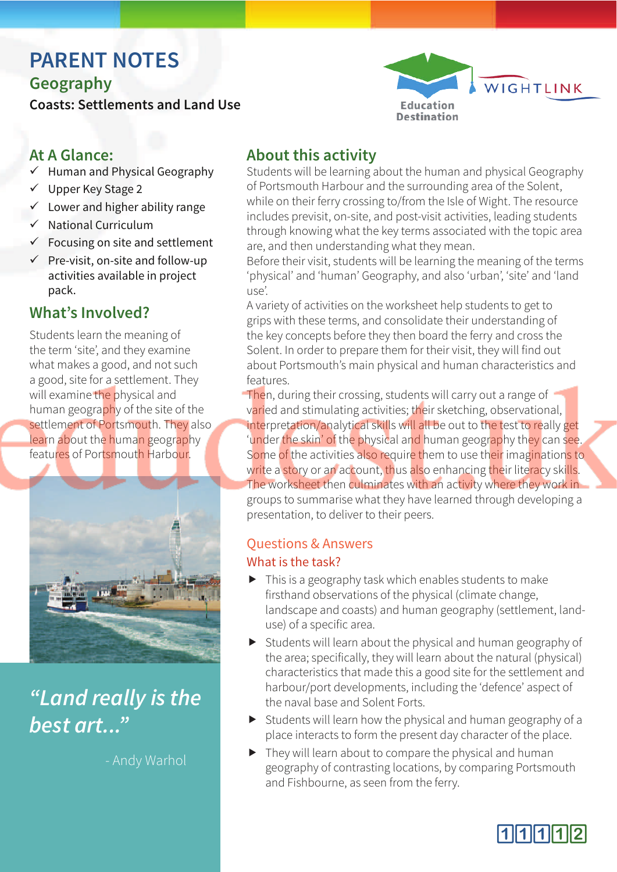## **PARENT NOTES Geography**

**Coasts: Settlements and Land Use**



## **At A Glance:**

- $\checkmark$  Human and Physical Geography
- $V$  Upper Key Stage 2
- $\checkmark$  Lower and higher ability range
- $\checkmark$  National Curriculum
- $\checkmark$  Focusing on site and settlement
- $\checkmark$  Pre-visit, on-site and follow-up activities available in project pack.

### **What's Involved?**

Students learn the meaning of the term 'site', and they examine what makes a good, and not such a good, site for a settlement. They will examine the physical and human geography of the site of the settlement of Portsmouth. They also learn about the human geography features of Portsmouth Harbour.



# **"Land really is the best art..."**

- Andy Warhol

## **About this activity**

Students will be learning about the human and physical Geography of Portsmouth Harbour and the surrounding area of the Solent, while on their ferry crossing to/from the Isle of Wight. The resource includes previsit, on-site, and post-visit activities, leading students through knowing what the key terms associated with the topic area are, and then understanding what they mean.

Before their visit, students will be learning the meaning of the terms 'physical' and 'human' Geography, and also 'urban', 'site' and 'land use'.

A variety of activities on the worksheet help students to get to grips with these terms, and consolidate their understanding of the key concepts before they then board the ferry and cross the Solent. In order to prepare them for their visit, they will find out about Portsmouth's main physical and human characteristics and features.

Then, during their crossing, students will carry out a range of varied and stimulating activities; their sketching, observational, interpretation/analytical skills will all be out to the test to really get 'under the skin' of the physical and human geography they can see. Some of the activities also require them to use their imaginations to write a story or an account, thus also enhancing their literacy skills. The worksheet then culminates with an activity where they work in groups to summarise what they have learned through developing a presentation, to deliver to their peers.

#### Questions & Answers What is the task?

- $\blacktriangleright$  This is a geography task which enables students to make firsthand observations of the physical (climate change, landscape and coasts) and human geography (settlement, landuse) of a specific area.
- $\triangleright$  Students will learn about the physical and human geography of the area; specifically, they will learn about the natural (physical) characteristics that made this a good site for the settlement and harbour/port developments, including the 'defence' aspect of the naval base and Solent Forts.
- $\triangleright$  Students will learn how the physical and human geography of a place interacts to form the present day character of the place.
- $\blacktriangleright$  They will learn about to compare the physical and human geography of contrasting locations, by comparing Portsmouth and Fishbourne, as seen from the ferry.

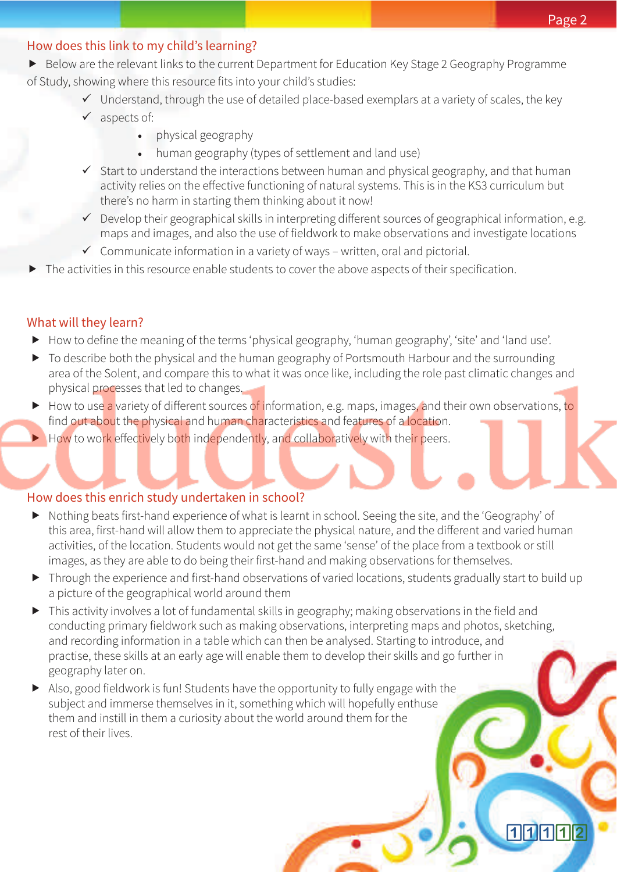11112

#### How does this link to my child's learning?

Below are the relevant links to the current Department for Education Key Stage 2 Geography Programme of Study, showing where this resource fits into your child's studies:

- $\checkmark$  Understand, through the use of detailed place-based exemplars at a variety of scales, the key
- $\checkmark$  aspects of:
	- $\bullet$  physical geography
	- human geography (types of settlement and land use)
- $\checkmark$  Start to understand the interactions between human and physical geography, and that human activity relies on the efective functioning of natural systems. This is in the KS3 curriculum but there's no harm in starting them thinking about it now!
- $\checkmark$  Develop their geographical skills in interpreting different sources of geographical information, e.g. maps and images, and also the use of fieldwork to make observations and investigate locations
- $\checkmark$  Communicate information in a variety of ways written, oral and pictorial.
- The activities in this resource enable students to cover the above aspects of their specification.

#### What will they learn?

- How to define the meaning of the terms 'physical geography, 'human geography', 'site' and 'land use'.
- $\triangleright$  To describe both the physical and the human geography of Portsmouth Harbour and the surrounding area of the Solent, and compare this to what it was once like, including the role past climatic changes and physical processes that led to changes.
- $\blacktriangleright$  How to use a variety of different sources of information, e.g. maps, images, and their own observations, to find out about the physical and human characteristics and features of a location.
- How to work effectively both independently, and collaboratively with their peers.

#### How does this enrich study undertaken in school?

- Nothing beats first-hand experience of what is learnt in school. Seeing the site, and the 'Geography' of this area, first-hand will allow them to appreciate the physical nature, and the diferent and varied human activities, of the location. Students would not get the same 'sense' of the place from a textbook or still images, as they are able to do being their first-hand and making observations for themselves.
- ▶ Through the experience and first-hand observations of varied locations, students gradually start to build up a picture of the geographical world around them
- $\blacktriangleright$  This activity involves a lot of fundamental skills in geography; making observations in the field and conducting primary fieldwork such as making observations, interpreting maps and photos, sketching, and recording information in a table which can then be analysed. Starting to introduce, and practise, these skills at an early age will enable them to develop their skills and go further in geography later on.
- Also, good fieldwork is fun! Students have the opportunity to fully engage with the subject and immerse themselves in it, something which will hopefully enthuse them and instill in them a curiosity about the world around them for the rest of their lives.